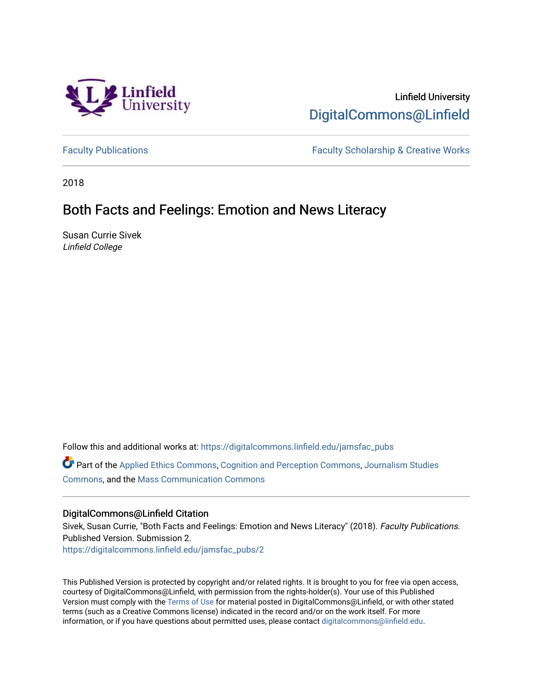

Linfield University [DigitalCommons@Linfield](https://digitalcommons.linfield.edu/) 

[Faculty Publications](https://digitalcommons.linfield.edu/jamsfac_pubs) [Faculty Scholarship & Creative Works](https://digitalcommons.linfield.edu/jamsfac) 

2018

# Both Facts and Feelings: Emotion and News Literacy

Susan Currie Sivek Linfield College

Follow this and additional works at: [https://digitalcommons.linfield.edu/jamsfac\\_pubs](https://digitalcommons.linfield.edu/jamsfac_pubs?utm_source=digitalcommons.linfield.edu%2Fjamsfac_pubs%2F2&utm_medium=PDF&utm_campaign=PDFCoverPages) 

Part of the [Applied Ethics Commons](http://network.bepress.com/hgg/discipline/1392?utm_source=digitalcommons.linfield.edu%2Fjamsfac_pubs%2F2&utm_medium=PDF&utm_campaign=PDFCoverPages), [Cognition and Perception Commons](http://network.bepress.com/hgg/discipline/407?utm_source=digitalcommons.linfield.edu%2Fjamsfac_pubs%2F2&utm_medium=PDF&utm_campaign=PDFCoverPages), [Journalism Studies](http://network.bepress.com/hgg/discipline/333?utm_source=digitalcommons.linfield.edu%2Fjamsfac_pubs%2F2&utm_medium=PDF&utm_campaign=PDFCoverPages) [Commons](http://network.bepress.com/hgg/discipline/333?utm_source=digitalcommons.linfield.edu%2Fjamsfac_pubs%2F2&utm_medium=PDF&utm_campaign=PDFCoverPages), and the [Mass Communication Commons](http://network.bepress.com/hgg/discipline/334?utm_source=digitalcommons.linfield.edu%2Fjamsfac_pubs%2F2&utm_medium=PDF&utm_campaign=PDFCoverPages) 

## DigitalCommons@Linfield Citation

Sivek, Susan Currie, "Both Facts and Feelings: Emotion and News Literacy" (2018). Faculty Publications. Published Version. Submission 2.

[https://digitalcommons.linfield.edu/jamsfac\\_pubs/2](https://digitalcommons.linfield.edu/jamsfac_pubs/2) 

This Published Version is protected by copyright and/or related rights. It is brought to you for free via open access, courtesy of DigitalCommons@Linfield, with permission from the rights-holder(s). Your use of this Published Version must comply with the [Terms of Use](https://digitalcommons.linfield.edu/terms_of_use.html) for material posted in DigitalCommons@Linfield, or with other stated terms (such as a Creative Commons license) indicated in the record and/or on the work itself. For more information, or if you have questions about permitted uses, please contact [digitalcommons@linfield.edu](mailto:digitalcommons@linfield.edu).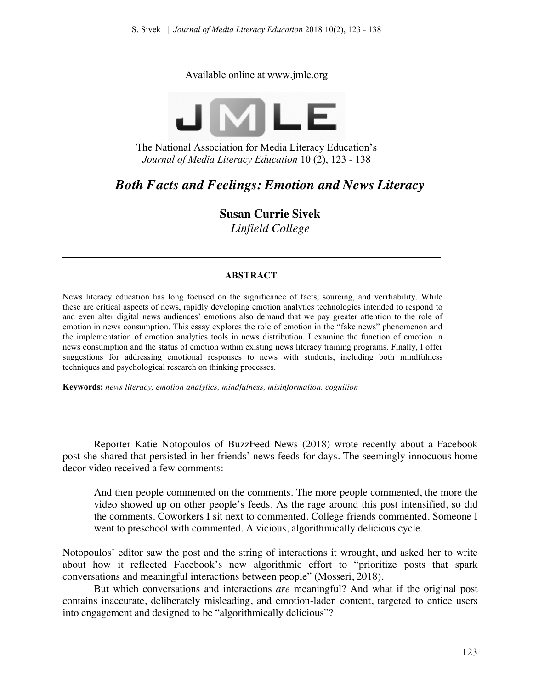Available online at www.jmle.org



The National Association for Media Literacy Education's *Journal of Media Literacy Education* 10 (2), 123 - 138

# *Both Facts and Feelings: Emotion and News Literacy*

**Susan Currie Sivek** *Linfield College*

## **ABSTRACT**

News literacy education has long focused on the significance of facts, sourcing, and verifiability. While these are critical aspects of news, rapidly developing emotion analytics technologies intended to respond to and even alter digital news audiences' emotions also demand that we pay greater attention to the role of emotion in news consumption. This essay explores the role of emotion in the "fake news" phenomenon and the implementation of emotion analytics tools in news distribution. I examine the function of emotion in news consumption and the status of emotion within existing news literacy training programs. Finally, I offer suggestions for addressing emotional responses to news with students, including both mindfulness techniques and psychological research on thinking processes.

**Keywords:** *news literacy, emotion analytics, mindfulness, misinformation, cognition*

Reporter Katie Notopoulos of BuzzFeed News (2018) wrote recently about a Facebook post she shared that persisted in her friends' news feeds for days. The seemingly innocuous home decor video received a few comments:

And then people commented on the comments. The more people commented, the more the video showed up on other people's feeds. As the rage around this post intensified, so did the comments. Coworkers I sit next to commented. College friends commented. Someone I went to preschool with commented. A vicious, algorithmically delicious cycle.

Notopoulos' editor saw the post and the string of interactions it wrought, and asked her to write about how it reflected Facebook's new algorithmic effort to "prioritize posts that spark conversations and meaningful interactions between people" (Mosseri, 2018).

But which conversations and interactions *are* meaningful? And what if the original post contains inaccurate, deliberately misleading, and emotion-laden content, targeted to entice users into engagement and designed to be "algorithmically delicious"?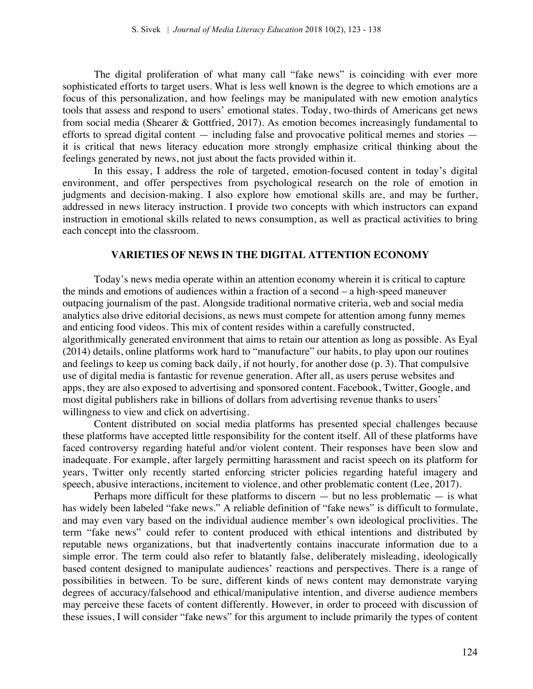The digital proliferation of what many call "fake news" is coinciding with ever more sophisticated efforts to target users. What is less well known is the degree to which emotions are a focus of this personalization, and how feelings may be manipulated with new emotion analytics tools that assess and respond to users' emotional states. Today, two-thirds of Americans get news from social media (Shearer & Gottfried, 2017). As emotion becomes increasingly fundamental to efforts to spread digital content — including false and provocative political memes and stories it is critical that news literacy education more strongly emphasize critical thinking about the feelings generated by news, not just about the facts provided within it.

In this essay, I address the role of targeted, emotion-focused content in today's digital environment, and offer perspectives from psychological research on the role of emotion in judgments and decision-making. I also explore how emotional skills are, and may be further, addressed in news literacy instruction. I provide two concepts with which instructors can expand instruction in emotional skills related to news consumption, as well as practical activities to bring each concept into the classroom.

#### **VARIETIES OF NEWS IN THE DIGITAL ATTENTION ECONOMY**

Today's news media operate within an attention economy wherein it is critical to capture the minds and emotions of audiences within a fraction of a second – a high-speed maneuver outpacing journalism of the past. Alongside traditional normative criteria, web and social media analytics also drive editorial decisions, as news must compete for attention among funny memes and enticing food videos. This mix of content resides within a carefully constructed, algorithmically generated environment that aims to retain our attention as long as possible. As Eyal (2014) details, online platforms work hard to "manufacture" our habits, to play upon our routines and feelings to keep us coming back daily, if not hourly, for another dose (p. 3). That compulsive use of digital media is fantastic for revenue generation. After all, as users peruse websites and apps, they are also exposed to advertising and sponsored content. Facebook, Twitter, Google, and most digital publishers rake in billions of dollars from advertising revenue thanks to users' willingness to view and click on advertising.

Content distributed on social media platforms has presented special challenges because these platforms have accepted little responsibility for the content itself. All of these platforms have faced controversy regarding hateful and/or violent content. Their responses have been slow and inadequate. For example, after largely permitting harassment and racist speech on its platform for years, Twitter only recently started enforcing stricter policies regarding hateful imagery and speech, abusive interactions, incitement to violence, and other problematic content (Lee, 2017).

Perhaps more difficult for these platforms to discern  $-$  but no less problematic  $-$  is what has widely been labeled "fake news." A reliable definition of "fake news" is difficult to formulate, and may even vary based on the individual audience member's own ideological proclivities. The term "fake news" could refer to content produced with ethical intentions and distributed by reputable news organizations, but that inadvertently contains inaccurate information due to a simple error. The term could also refer to blatantly false, deliberately misleading, ideologically based content designed to manipulate audiences' reactions and perspectives. There is a range of possibilities in between. To be sure, different kinds of news content may demonstrate varying degrees of accuracy/falsehood and ethical/manipulative intention, and diverse audience members may perceive these facets of content differently. However, in order to proceed with discussion of these issues, I will consider "fake news" for this argument to include primarily the types of content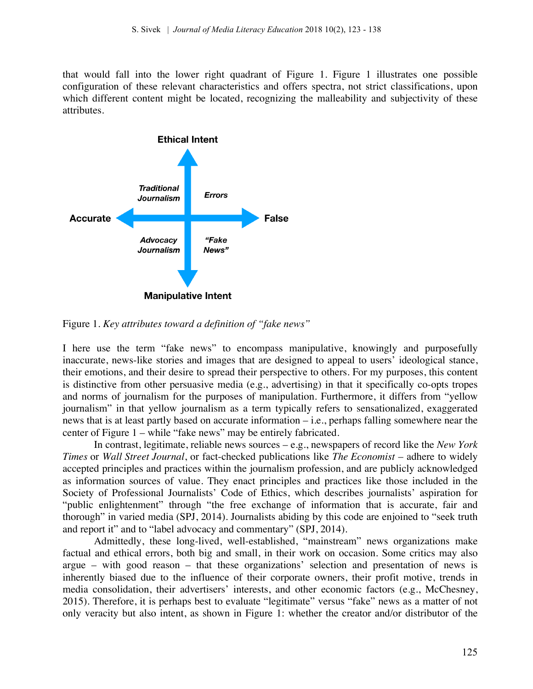that would fall into the lower right quadrant of Figure 1. Figure 1 illustrates one possible configuration of these relevant characteristics and offers spectra, not strict classifications, upon which different content might be located, recognizing the malleability and subjectivity of these attributes.



Figure 1. *Key attributes toward a definition of "fake news"*

I here use the term "fake news" to encompass manipulative, knowingly and purposefully inaccurate, news-like stories and images that are designed to appeal to users' ideological stance, their emotions, and their desire to spread their perspective to others. For my purposes, this content is distinctive from other persuasive media (e.g., advertising) in that it specifically co-opts tropes and norms of journalism for the purposes of manipulation. Furthermore, it differs from "yellow journalism" in that yellow journalism as a term typically refers to sensationalized, exaggerated news that is at least partly based on accurate information – i.e., perhaps falling somewhere near the center of Figure 1 – while "fake news" may be entirely fabricated.

In contrast, legitimate, reliable news sources – e.g., newspapers of record like the *New York Times* or *Wall Street Journal*, or fact-checked publications like *The Economist* – adhere to widely accepted principles and practices within the journalism profession, and are publicly acknowledged as information sources of value. They enact principles and practices like those included in the Society of Professional Journalists' Code of Ethics, which describes journalists' aspiration for "public enlightenment" through "the free exchange of information that is accurate, fair and thorough" in varied media (SPJ, 2014). Journalists abiding by this code are enjoined to "seek truth and report it" and to "label advocacy and commentary" (SPJ, 2014).

Admittedly, these long-lived, well-established, "mainstream" news organizations make factual and ethical errors, both big and small, in their work on occasion. Some critics may also argue – with good reason – that these organizations' selection and presentation of news is inherently biased due to the influence of their corporate owners, their profit motive, trends in media consolidation, their advertisers' interests, and other economic factors (e.g., McChesney, 2015). Therefore, it is perhaps best to evaluate "legitimate" versus "fake" news as a matter of not only veracity but also intent, as shown in Figure 1: whether the creator and/or distributor of the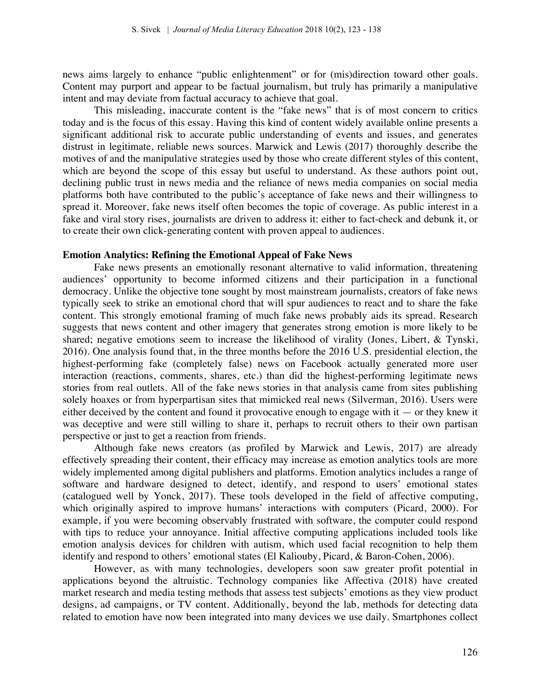news aims largely to enhance "public enlightenment" or for (mis)direction toward other goals. Content may purport and appear to be factual journalism, but truly has primarily a manipulative intent and may deviate from factual accuracy to achieve that goal.

This misleading, inaccurate content is the "fake news" that is of most concern to critics today and is the focus of this essay. Having this kind of content widely available online presents a significant additional risk to accurate public understanding of events and issues, and generates distrust in legitimate, reliable news sources. Marwick and Lewis (2017) thoroughly describe the motives of and the manipulative strategies used by those who create different styles of this content, which are beyond the scope of this essay but useful to understand. As these authors point out, declining public trust in news media and the reliance of news media companies on social media platforms both have contributed to the public's acceptance of fake news and their willingness to spread it. Moreover, fake news itself often becomes the topic of coverage. As public interest in a fake and viral story rises, journalists are driven to address it: either to fact-check and debunk it, or to create their own click-generating content with proven appeal to audiences.

#### **Emotion Analytics: Refining the Emotional Appeal of Fake News**

Fake news presents an emotionally resonant alternative to valid information, threatening audiences' opportunity to become informed citizens and their participation in a functional democracy. Unlike the objective tone sought by most mainstream journalists, creators of fake news typically seek to strike an emotional chord that will spur audiences to react and to share the fake content. This strongly emotional framing of much fake news probably aids its spread. Research suggests that news content and other imagery that generates strong emotion is more likely to be shared; negative emotions seem to increase the likelihood of virality (Jones, Libert, & Tynski, 2016). One analysis found that, in the three months before the 2016 U.S. presidential election, the highest-performing fake (completely false) news on Facebook actually generated more user interaction (reactions, comments, shares, etc.) than did the highest-performing legitimate news stories from real outlets. All of the fake news stories in that analysis came from sites publishing solely hoaxes or from hyperpartisan sites that mimicked real news (Silverman, 2016). Users were either deceived by the content and found it provocative enough to engage with it  $-$  or they knew it was deceptive and were still willing to share it, perhaps to recruit others to their own partisan perspective or just to get a reaction from friends.

Although fake news creators (as profiled by Marwick and Lewis, 2017) are already effectively spreading their content, their efficacy may increase as emotion analytics tools are more widely implemented among digital publishers and platforms. Emotion analytics includes a range of software and hardware designed to detect, identify, and respond to users' emotional states (catalogued well by Yonck, 2017). These tools developed in the field of affective computing, which originally aspired to improve humans' interactions with computers (Picard, 2000). For example, if you were becoming observably frustrated with software, the computer could respond with tips to reduce your annoyance. Initial affective computing applications included tools like emotion analysis devices for children with autism, which used facial recognition to help them identify and respond to others' emotional states (El Kaliouby, Picard, & Baron-Cohen, 2006).

However, as with many technologies, developers soon saw greater profit potential in applications beyond the altruistic. Technology companies like Affectiva (2018) have created market research and media testing methods that assess test subjects' emotions as they view product designs, ad campaigns, or TV content. Additionally, beyond the lab, methods for detecting data related to emotion have now been integrated into many devices we use daily. Smartphones collect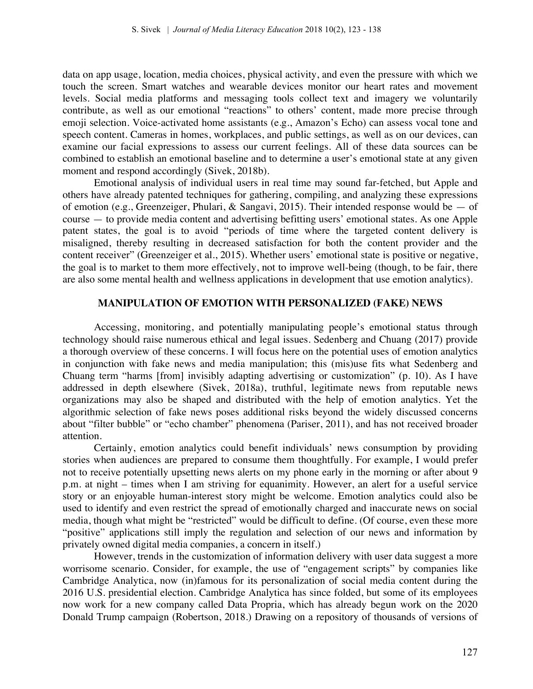data on app usage, location, media choices, physical activity, and even the pressure with which we touch the screen. Smart watches and wearable devices monitor our heart rates and movement levels. Social media platforms and messaging tools collect text and imagery we voluntarily contribute, as well as our emotional "reactions" to others' content, made more precise through emoji selection. Voice-activated home assistants (e.g., Amazon's Echo) can assess vocal tone and speech content. Cameras in homes, workplaces, and public settings, as well as on our devices, can examine our facial expressions to assess our current feelings. All of these data sources can be combined to establish an emotional baseline and to determine a user's emotional state at any given moment and respond accordingly (Sivek, 2018b).

Emotional analysis of individual users in real time may sound far-fetched, but Apple and others have already patented techniques for gathering, compiling, and analyzing these expressions of emotion (e.g., Greenzeiger, Phulari, & Sangavi, 2015). Their intended response would be  $-$  of course — to provide media content and advertising befitting users' emotional states. As one Apple patent states, the goal is to avoid "periods of time where the targeted content delivery is misaligned, thereby resulting in decreased satisfaction for both the content provider and the content receiver" (Greenzeiger et al., 2015). Whether users' emotional state is positive or negative, the goal is to market to them more effectively, not to improve well-being (though, to be fair, there are also some mental health and wellness applications in development that use emotion analytics).

#### **MANIPULATION OF EMOTION WITH PERSONALIZED (FAKE) NEWS**

Accessing, monitoring, and potentially manipulating people's emotional status through technology should raise numerous ethical and legal issues. Sedenberg and Chuang (2017) provide a thorough overview of these concerns. I will focus here on the potential uses of emotion analytics in conjunction with fake news and media manipulation; this (mis)use fits what Sedenberg and Chuang term "harms [from] invisibly adapting advertising or customization" (p. 10). As I have addressed in depth elsewhere (Sivek, 2018a), truthful, legitimate news from reputable news organizations may also be shaped and distributed with the help of emotion analytics. Yet the algorithmic selection of fake news poses additional risks beyond the widely discussed concerns about "filter bubble" or "echo chamber" phenomena (Pariser, 2011), and has not received broader attention.

Certainly, emotion analytics could benefit individuals' news consumption by providing stories when audiences are prepared to consume them thoughtfully. For example, I would prefer not to receive potentially upsetting news alerts on my phone early in the morning or after about 9 p.m. at night – times when I am striving for equanimity. However, an alert for a useful service story or an enjoyable human-interest story might be welcome. Emotion analytics could also be used to identify and even restrict the spread of emotionally charged and inaccurate news on social media, though what might be "restricted" would be difficult to define. (Of course, even these more "positive" applications still imply the regulation and selection of our news and information by privately owned digital media companies, a concern in itself.)

However, trends in the customization of information delivery with user data suggest a more worrisome scenario. Consider, for example, the use of "engagement scripts" by companies like Cambridge Analytica, now (in)famous for its personalization of social media content during the 2016 U.S. presidential election. Cambridge Analytica has since folded, but some of its employees now work for a new company called Data Propria, which has already begun work on the 2020 Donald Trump campaign (Robertson, 2018.) Drawing on a repository of thousands of versions of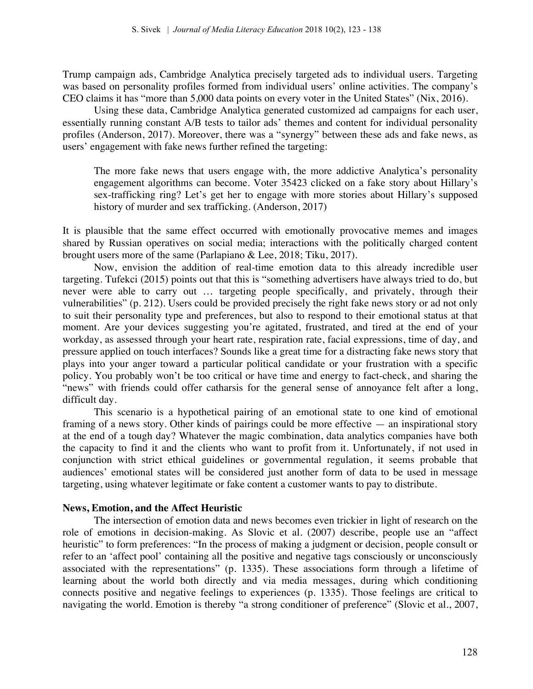Trump campaign ads, Cambridge Analytica precisely targeted ads to individual users. Targeting was based on personality profiles formed from individual users' online activities. The company's CEO claims it has "more than 5,000 data points on every voter in the United States" (Nix, 2016).

Using these data, Cambridge Analytica generated customized ad campaigns for each user, essentially running constant A/B tests to tailor ads' themes and content for individual personality profiles (Anderson, 2017). Moreover, there was a "synergy" between these ads and fake news, as users' engagement with fake news further refined the targeting:

The more fake news that users engage with, the more addictive Analytica's personality engagement algorithms can become. Voter 35423 clicked on a fake story about Hillary's sex-trafficking ring? Let's get her to engage with more stories about Hillary's supposed history of murder and sex trafficking. (Anderson, 2017)

It is plausible that the same effect occurred with emotionally provocative memes and images shared by Russian operatives on social media; interactions with the politically charged content brought users more of the same (Parlapiano & Lee, 2018; Tiku, 2017).

Now, envision the addition of real-time emotion data to this already incredible user targeting. Tufekci (2015) points out that this is "something advertisers have always tried to do, but never were able to carry out … targeting people specifically, and privately, through their vulnerabilities" (p. 212). Users could be provided precisely the right fake news story or ad not only to suit their personality type and preferences, but also to respond to their emotional status at that moment. Are your devices suggesting you're agitated, frustrated, and tired at the end of your workday, as assessed through your heart rate, respiration rate, facial expressions, time of day, and pressure applied on touch interfaces? Sounds like a great time for a distracting fake news story that plays into your anger toward a particular political candidate or your frustration with a specific policy. You probably won't be too critical or have time and energy to fact-check, and sharing the "news" with friends could offer catharsis for the general sense of annoyance felt after a long, difficult day.

This scenario is a hypothetical pairing of an emotional state to one kind of emotional framing of a news story. Other kinds of pairings could be more effective — an inspirational story at the end of a tough day? Whatever the magic combination, data analytics companies have both the capacity to find it and the clients who want to profit from it. Unfortunately, if not used in conjunction with strict ethical guidelines or governmental regulation, it seems probable that audiences' emotional states will be considered just another form of data to be used in message targeting, using whatever legitimate or fake content a customer wants to pay to distribute.

## **News, Emotion, and the Affect Heuristic**

The intersection of emotion data and news becomes even trickier in light of research on the role of emotions in decision-making. As Slovic et al. (2007) describe, people use an "affect heuristic" to form preferences: "In the process of making a judgment or decision, people consult or refer to an 'affect pool' containing all the positive and negative tags consciously or unconsciously associated with the representations" (p. 1335). These associations form through a lifetime of learning about the world both directly and via media messages, during which conditioning connects positive and negative feelings to experiences (p. 1335). Those feelings are critical to navigating the world. Emotion is thereby "a strong conditioner of preference" (Slovic et al., 2007,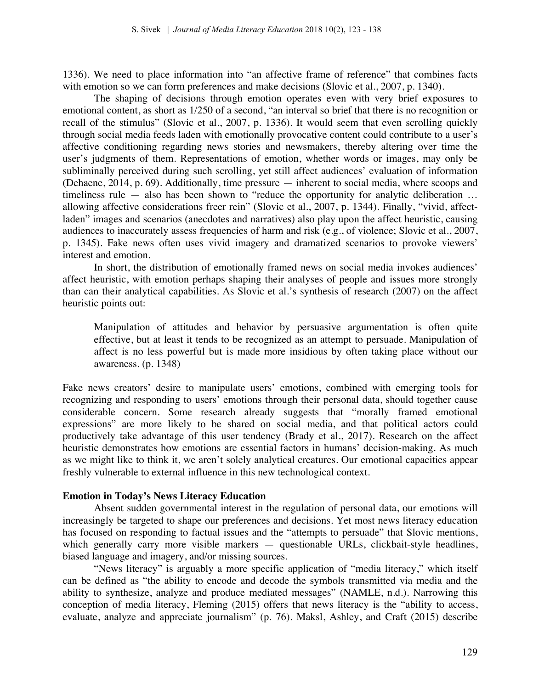1336). We need to place information into "an affective frame of reference" that combines facts with emotion so we can form preferences and make decisions (Slovic et al., 2007, p. 1340).

The shaping of decisions through emotion operates even with very brief exposures to emotional content, as short as 1/250 of a second, "an interval so brief that there is no recognition or recall of the stimulus" (Slovic et al., 2007, p. 1336). It would seem that even scrolling quickly through social media feeds laden with emotionally provocative content could contribute to a user's affective conditioning regarding news stories and newsmakers, thereby altering over time the user's judgments of them. Representations of emotion, whether words or images, may only be subliminally perceived during such scrolling, yet still affect audiences' evaluation of information (Dehaene, 2014, p. 69). Additionally, time pressure — inherent to social media, where scoops and timeliness rule — also has been shown to "reduce the opportunity for analytic deliberation … allowing affective considerations freer rein" (Slovic et al., 2007, p. 1344). Finally, "vivid, affectladen" images and scenarios (anecdotes and narratives) also play upon the affect heuristic, causing audiences to inaccurately assess frequencies of harm and risk (e.g., of violence; Slovic et al., 2007, p. 1345). Fake news often uses vivid imagery and dramatized scenarios to provoke viewers' interest and emotion.

In short, the distribution of emotionally framed news on social media invokes audiences' affect heuristic, with emotion perhaps shaping their analyses of people and issues more strongly than can their analytical capabilities. As Slovic et al.'s synthesis of research (2007) on the affect heuristic points out:

Manipulation of attitudes and behavior by persuasive argumentation is often quite effective, but at least it tends to be recognized as an attempt to persuade. Manipulation of affect is no less powerful but is made more insidious by often taking place without our awareness. (p. 1348)

Fake news creators' desire to manipulate users' emotions, combined with emerging tools for recognizing and responding to users' emotions through their personal data, should together cause considerable concern. Some research already suggests that "morally framed emotional expressions" are more likely to be shared on social media, and that political actors could productively take advantage of this user tendency (Brady et al., 2017). Research on the affect heuristic demonstrates how emotions are essential factors in humans' decision-making. As much as we might like to think it, we aren't solely analytical creatures. Our emotional capacities appear freshly vulnerable to external influence in this new technological context.

#### **Emotion in Today's News Literacy Education**

Absent sudden governmental interest in the regulation of personal data, our emotions will increasingly be targeted to shape our preferences and decisions. Yet most news literacy education has focused on responding to factual issues and the "attempts to persuade" that Slovic mentions, which generally carry more visible markers — questionable URLs, clickbait-style headlines, biased language and imagery, and/or missing sources.

"News literacy" is arguably a more specific application of "media literacy," which itself can be defined as "the ability to encode and decode the symbols transmitted via media and the ability to synthesize, analyze and produce mediated messages" (NAMLE, n.d.). Narrowing this conception of media literacy, Fleming (2015) offers that news literacy is the "ability to access, evaluate, analyze and appreciate journalism" (p. 76). Maksl, Ashley, and Craft (2015) describe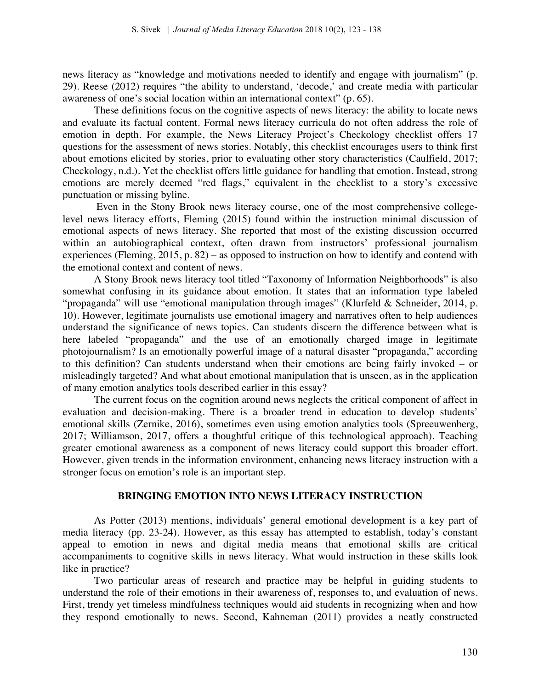news literacy as "knowledge and motivations needed to identify and engage with journalism" (p. 29). Reese (2012) requires "the ability to understand, 'decode,' and create media with particular awareness of one's social location within an international context" (p. 65).

These definitions focus on the cognitive aspects of news literacy: the ability to locate news and evaluate its factual content. Formal news literacy curricula do not often address the role of emotion in depth. For example, the News Literacy Project's Checkology checklist offers 17 questions for the assessment of news stories. Notably, this checklist encourages users to think first about emotions elicited by stories, prior to evaluating other story characteristics (Caulfield, 2017; Checkology, n.d.). Yet the checklist offers little guidance for handling that emotion. Instead, strong emotions are merely deemed "red flags," equivalent in the checklist to a story's excessive punctuation or missing byline.

Even in the Stony Brook news literacy course, one of the most comprehensive collegelevel news literacy efforts, Fleming (2015) found within the instruction minimal discussion of emotional aspects of news literacy. She reported that most of the existing discussion occurred within an autobiographical context, often drawn from instructors' professional journalism experiences (Fleming, 2015, p. 82) – as opposed to instruction on how to identify and contend with the emotional context and content of news.

A Stony Brook news literacy tool titled "Taxonomy of Information Neighborhoods" is also somewhat confusing in its guidance about emotion. It states that an information type labeled "propaganda" will use "emotional manipulation through images" (Klurfeld & Schneider, 2014, p. 10). However, legitimate journalists use emotional imagery and narratives often to help audiences understand the significance of news topics. Can students discern the difference between what is here labeled "propaganda" and the use of an emotionally charged image in legitimate photojournalism? Is an emotionally powerful image of a natural disaster "propaganda," according to this definition? Can students understand when their emotions are being fairly invoked – or misleadingly targeted? And what about emotional manipulation that is unseen, as in the application of many emotion analytics tools described earlier in this essay?

The current focus on the cognition around news neglects the critical component of affect in evaluation and decision-making. There is a broader trend in education to develop students' emotional skills (Zernike, 2016), sometimes even using emotion analytics tools (Spreeuwenberg, 2017; Williamson, 2017, offers a thoughtful critique of this technological approach). Teaching greater emotional awareness as a component of news literacy could support this broader effort. However, given trends in the information environment, enhancing news literacy instruction with a stronger focus on emotion's role is an important step.

## **BRINGING EMOTION INTO NEWS LITERACY INSTRUCTION**

As Potter (2013) mentions, individuals' general emotional development is a key part of media literacy (pp. 23-24). However, as this essay has attempted to establish, today's constant appeal to emotion in news and digital media means that emotional skills are critical accompaniments to cognitive skills in news literacy. What would instruction in these skills look like in practice?

Two particular areas of research and practice may be helpful in guiding students to understand the role of their emotions in their awareness of, responses to, and evaluation of news. First, trendy yet timeless mindfulness techniques would aid students in recognizing when and how they respond emotionally to news. Second, Kahneman (2011) provides a neatly constructed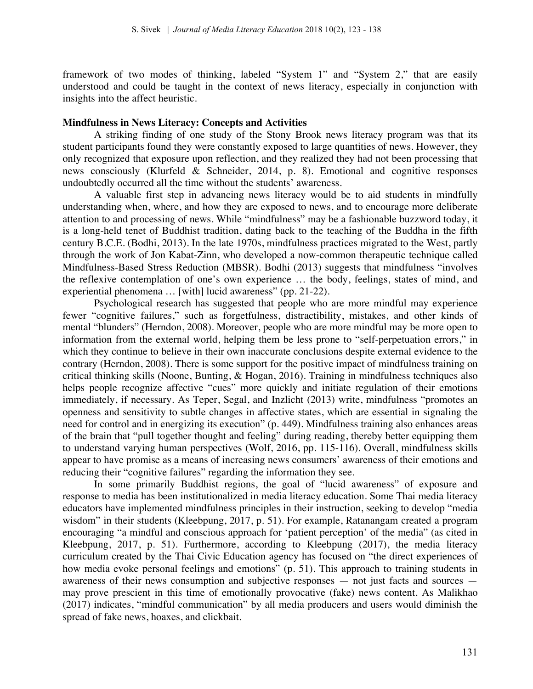framework of two modes of thinking, labeled "System 1" and "System 2," that are easily understood and could be taught in the context of news literacy, especially in conjunction with insights into the affect heuristic.

## **Mindfulness in News Literacy: Concepts and Activities**

A striking finding of one study of the Stony Brook news literacy program was that its student participants found they were constantly exposed to large quantities of news. However, they only recognized that exposure upon reflection, and they realized they had not been processing that news consciously (Klurfeld & Schneider, 2014, p. 8). Emotional and cognitive responses undoubtedly occurred all the time without the students' awareness.

A valuable first step in advancing news literacy would be to aid students in mindfully understanding when, where, and how they are exposed to news, and to encourage more deliberate attention to and processing of news. While "mindfulness" may be a fashionable buzzword today, it is a long-held tenet of Buddhist tradition, dating back to the teaching of the Buddha in the fifth century B.C.E. (Bodhi, 2013). In the late 1970s, mindfulness practices migrated to the West, partly through the work of Jon Kabat-Zinn, who developed a now-common therapeutic technique called Mindfulness-Based Stress Reduction (MBSR). Bodhi (2013) suggests that mindfulness "involves the reflexive contemplation of one's own experience … the body, feelings, states of mind, and experiential phenomena … [with] lucid awareness" (pp. 21-22).

Psychological research has suggested that people who are more mindful may experience fewer "cognitive failures," such as forgetfulness, distractibility, mistakes, and other kinds of mental "blunders" (Herndon, 2008). Moreover, people who are more mindful may be more open to information from the external world, helping them be less prone to "self-perpetuation errors," in which they continue to believe in their own inaccurate conclusions despite external evidence to the contrary (Herndon, 2008). There is some support for the positive impact of mindfulness training on critical thinking skills (Noone, Bunting, & Hogan, 2016). Training in mindfulness techniques also helps people recognize affective "cues" more quickly and initiate regulation of their emotions immediately, if necessary. As Teper, Segal, and Inzlicht (2013) write, mindfulness "promotes an openness and sensitivity to subtle changes in affective states, which are essential in signaling the need for control and in energizing its execution" (p. 449). Mindfulness training also enhances areas of the brain that "pull together thought and feeling" during reading, thereby better equipping them to understand varying human perspectives (Wolf, 2016, pp. 115-116). Overall, mindfulness skills appear to have promise as a means of increasing news consumers' awareness of their emotions and reducing their "cognitive failures" regarding the information they see.

In some primarily Buddhist regions, the goal of "lucid awareness" of exposure and response to media has been institutionalized in media literacy education. Some Thai media literacy educators have implemented mindfulness principles in their instruction, seeking to develop "media wisdom" in their students (Kleebpung, 2017, p. 51). For example, Ratanangam created a program encouraging "a mindful and conscious approach for 'patient perception' of the media" (as cited in Kleebpung, 2017, p. 51). Furthermore, according to Kleebpung (2017), the media literacy curriculum created by the Thai Civic Education agency has focused on "the direct experiences of how media evoke personal feelings and emotions" (p. 51). This approach to training students in awareness of their news consumption and subjective responses — not just facts and sources may prove prescient in this time of emotionally provocative (fake) news content. As Malikhao (2017) indicates, "mindful communication" by all media producers and users would diminish the spread of fake news, hoaxes, and clickbait.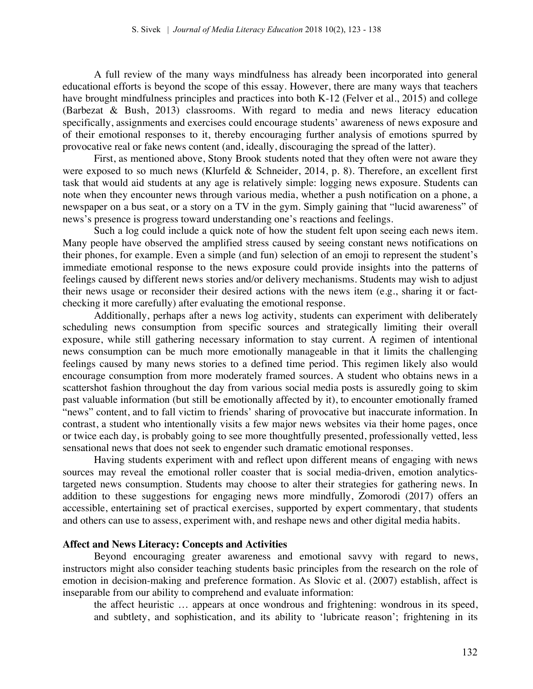A full review of the many ways mindfulness has already been incorporated into general educational efforts is beyond the scope of this essay. However, there are many ways that teachers have brought mindfulness principles and practices into both K-12 (Felver et al., 2015) and college (Barbezat & Bush, 2013) classrooms. With regard to media and news literacy education specifically, assignments and exercises could encourage students' awareness of news exposure and of their emotional responses to it, thereby encouraging further analysis of emotions spurred by provocative real or fake news content (and, ideally, discouraging the spread of the latter).

First, as mentioned above, Stony Brook students noted that they often were not aware they were exposed to so much news (Klurfeld & Schneider, 2014, p. 8). Therefore, an excellent first task that would aid students at any age is relatively simple: logging news exposure. Students can note when they encounter news through various media, whether a push notification on a phone, a newspaper on a bus seat, or a story on a TV in the gym. Simply gaining that "lucid awareness" of news's presence is progress toward understanding one's reactions and feelings.

Such a log could include a quick note of how the student felt upon seeing each news item. Many people have observed the amplified stress caused by seeing constant news notifications on their phones, for example. Even a simple (and fun) selection of an emoji to represent the student's immediate emotional response to the news exposure could provide insights into the patterns of feelings caused by different news stories and/or delivery mechanisms. Students may wish to adjust their news usage or reconsider their desired actions with the news item (e.g., sharing it or factchecking it more carefully) after evaluating the emotional response.

Additionally, perhaps after a news log activity, students can experiment with deliberately scheduling news consumption from specific sources and strategically limiting their overall exposure, while still gathering necessary information to stay current. A regimen of intentional news consumption can be much more emotionally manageable in that it limits the challenging feelings caused by many news stories to a defined time period. This regimen likely also would encourage consumption from more moderately framed sources. A student who obtains news in a scattershot fashion throughout the day from various social media posts is assuredly going to skim past valuable information (but still be emotionally affected by it), to encounter emotionally framed "news" content, and to fall victim to friends' sharing of provocative but inaccurate information. In contrast, a student who intentionally visits a few major news websites via their home pages, once or twice each day, is probably going to see more thoughtfully presented, professionally vetted, less sensational news that does not seek to engender such dramatic emotional responses.

Having students experiment with and reflect upon different means of engaging with news sources may reveal the emotional roller coaster that is social media-driven, emotion analyticstargeted news consumption. Students may choose to alter their strategies for gathering news. In addition to these suggestions for engaging news more mindfully, Zomorodi (2017) offers an accessible, entertaining set of practical exercises, supported by expert commentary, that students and others can use to assess, experiment with, and reshape news and other digital media habits.

## **Affect and News Literacy: Concepts and Activities**

Beyond encouraging greater awareness and emotional savvy with regard to news, instructors might also consider teaching students basic principles from the research on the role of emotion in decision-making and preference formation. As Slovic et al. (2007) establish, affect is inseparable from our ability to comprehend and evaluate information:

the affect heuristic … appears at once wondrous and frightening: wondrous in its speed, and subtlety, and sophistication, and its ability to 'lubricate reason'; frightening in its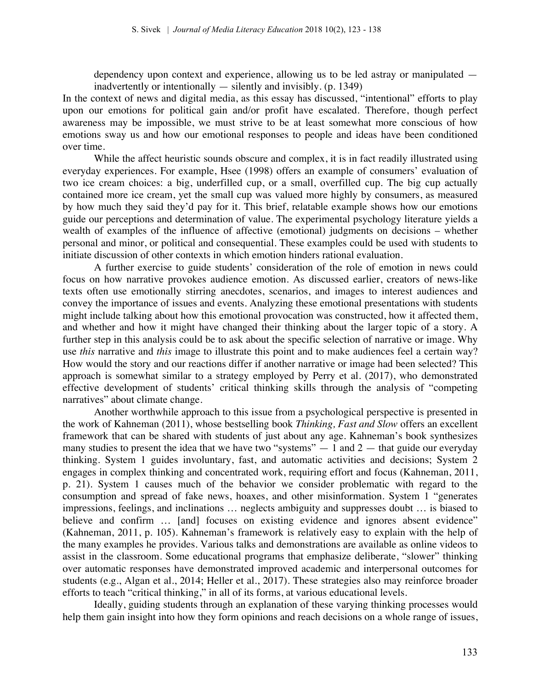dependency upon context and experience, allowing us to be led astray or manipulated inadvertently or intentionally — silently and invisibly. (p. 1349)

In the context of news and digital media, as this essay has discussed, "intentional" efforts to play upon our emotions for political gain and/or profit have escalated. Therefore, though perfect awareness may be impossible, we must strive to be at least somewhat more conscious of how emotions sway us and how our emotional responses to people and ideas have been conditioned over time.

While the affect heuristic sounds obscure and complex, it is in fact readily illustrated using everyday experiences. For example, Hsee (1998) offers an example of consumers' evaluation of two ice cream choices: a big, underfilled cup, or a small, overfilled cup. The big cup actually contained more ice cream, yet the small cup was valued more highly by consumers, as measured by how much they said they'd pay for it. This brief, relatable example shows how our emotions guide our perceptions and determination of value. The experimental psychology literature yields a wealth of examples of the influence of affective (emotional) judgments on decisions – whether personal and minor, or political and consequential. These examples could be used with students to initiate discussion of other contexts in which emotion hinders rational evaluation.

A further exercise to guide students' consideration of the role of emotion in news could focus on how narrative provokes audience emotion. As discussed earlier, creators of news-like texts often use emotionally stirring anecdotes, scenarios, and images to interest audiences and convey the importance of issues and events. Analyzing these emotional presentations with students might include talking about how this emotional provocation was constructed, how it affected them, and whether and how it might have changed their thinking about the larger topic of a story. A further step in this analysis could be to ask about the specific selection of narrative or image. Why use *this* narrative and *this* image to illustrate this point and to make audiences feel a certain way? How would the story and our reactions differ if another narrative or image had been selected? This approach is somewhat similar to a strategy employed by Perry et al. (2017), who demonstrated effective development of students' critical thinking skills through the analysis of "competing narratives" about climate change.

Another worthwhile approach to this issue from a psychological perspective is presented in the work of Kahneman (2011), whose bestselling book *Thinking, Fast and Slow* offers an excellent framework that can be shared with students of just about any age. Kahneman's book synthesizes many studies to present the idea that we have two "systems"  $-1$  and  $2$   $-$  that guide our everyday thinking. System 1 guides involuntary, fast, and automatic activities and decisions; System 2 engages in complex thinking and concentrated work, requiring effort and focus (Kahneman, 2011, p. 21). System 1 causes much of the behavior we consider problematic with regard to the consumption and spread of fake news, hoaxes, and other misinformation. System 1 "generates impressions, feelings, and inclinations … neglects ambiguity and suppresses doubt … is biased to believe and confirm ... [and] focuses on existing evidence and ignores absent evidence" (Kahneman, 2011, p. 105). Kahneman's framework is relatively easy to explain with the help of the many examples he provides. Various talks and demonstrations are available as online videos to assist in the classroom. Some educational programs that emphasize deliberate, "slower" thinking over automatic responses have demonstrated improved academic and interpersonal outcomes for students (e.g., Algan et al., 2014; Heller et al., 2017). These strategies also may reinforce broader efforts to teach "critical thinking," in all of its forms, at various educational levels.

Ideally, guiding students through an explanation of these varying thinking processes would help them gain insight into how they form opinions and reach decisions on a whole range of issues,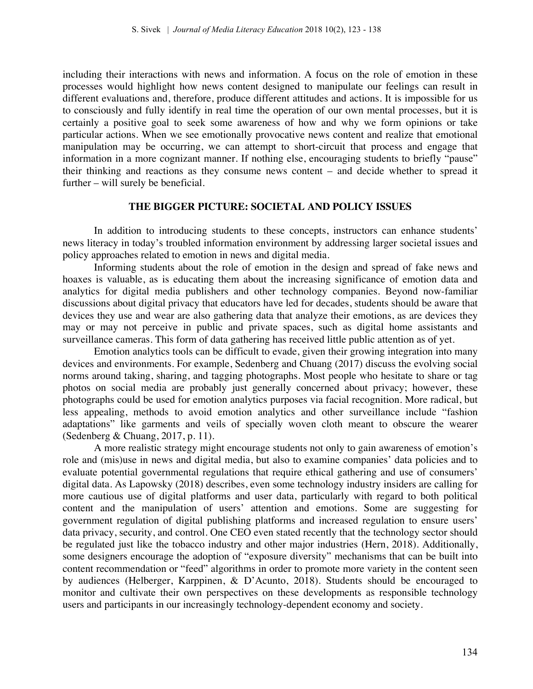including their interactions with news and information. A focus on the role of emotion in these processes would highlight how news content designed to manipulate our feelings can result in different evaluations and, therefore, produce different attitudes and actions. It is impossible for us to consciously and fully identify in real time the operation of our own mental processes, but it is certainly a positive goal to seek some awareness of how and why we form opinions or take particular actions. When we see emotionally provocative news content and realize that emotional manipulation may be occurring, we can attempt to short-circuit that process and engage that information in a more cognizant manner. If nothing else, encouraging students to briefly "pause" their thinking and reactions as they consume news content – and decide whether to spread it further – will surely be beneficial.

# **THE BIGGER PICTURE: SOCIETAL AND POLICY ISSUES**

In addition to introducing students to these concepts, instructors can enhance students' news literacy in today's troubled information environment by addressing larger societal issues and policy approaches related to emotion in news and digital media.

Informing students about the role of emotion in the design and spread of fake news and hoaxes is valuable, as is educating them about the increasing significance of emotion data and analytics for digital media publishers and other technology companies. Beyond now-familiar discussions about digital privacy that educators have led for decades, students should be aware that devices they use and wear are also gathering data that analyze their emotions, as are devices they may or may not perceive in public and private spaces, such as digital home assistants and surveillance cameras. This form of data gathering has received little public attention as of yet.

Emotion analytics tools can be difficult to evade, given their growing integration into many devices and environments. For example, Sedenberg and Chuang (2017) discuss the evolving social norms around taking, sharing, and tagging photographs. Most people who hesitate to share or tag photos on social media are probably just generally concerned about privacy; however, these photographs could be used for emotion analytics purposes via facial recognition. More radical, but less appealing, methods to avoid emotion analytics and other surveillance include "fashion adaptations" like garments and veils of specially woven cloth meant to obscure the wearer (Sedenberg & Chuang, 2017, p. 11).

A more realistic strategy might encourage students not only to gain awareness of emotion's role and (mis)use in news and digital media, but also to examine companies' data policies and to evaluate potential governmental regulations that require ethical gathering and use of consumers' digital data. As Lapowsky (2018) describes, even some technology industry insiders are calling for more cautious use of digital platforms and user data, particularly with regard to both political content and the manipulation of users' attention and emotions. Some are suggesting for government regulation of digital publishing platforms and increased regulation to ensure users' data privacy, security, and control. One CEO even stated recently that the technology sector should be regulated just like the tobacco industry and other major industries (Hern, 2018). Additionally, some designers encourage the adoption of "exposure diversity" mechanisms that can be built into content recommendation or "feed" algorithms in order to promote more variety in the content seen by audiences (Helberger, Karppinen, & D'Acunto, 2018). Students should be encouraged to monitor and cultivate their own perspectives on these developments as responsible technology users and participants in our increasingly technology-dependent economy and society.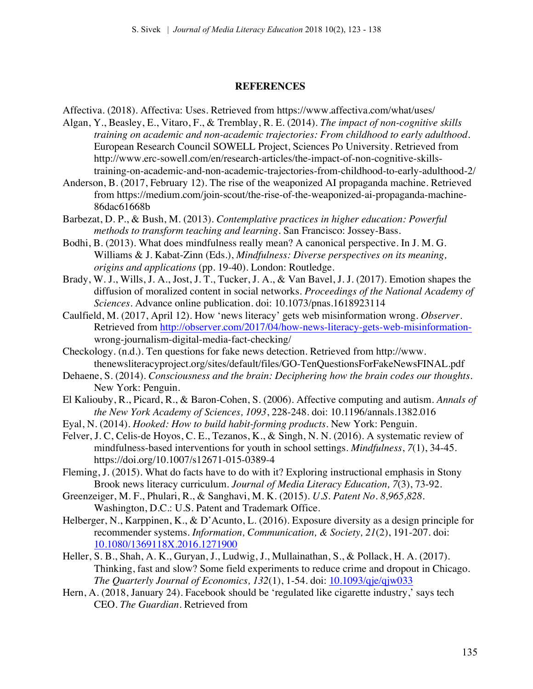#### **REFERENCES**

Affectiva. (2018). Affectiva: Uses. Retrieved from https://www.affectiva.com/what/uses/

- Algan, Y., Beasley, E., Vitaro, F., & Tremblay, R. E. (2014). *The impact of non-cognitive skills training on academic and non-academic trajectories: From childhood to early adulthood*. European Research Council SOWELL Project, Sciences Po University. Retrieved from http://www.erc-sowell.com/en/research-articles/the-impact-of-non-cognitive-skillstraining-on-academic-and-non-academic-trajectories-from-childhood-to-early-adulthood-2/
- Anderson, B. (2017, February 12). The rise of the weaponized AI propaganda machine. Retrieved from https://medium.com/join-scout/the-rise-of-the-weaponized-ai-propaganda-machine-86dac61668b
- Barbezat, D. P., & Bush, M. (2013). *Contemplative practices in higher education: Powerful methods to transform teaching and learning*. San Francisco: Jossey-Bass.
- Bodhi, B. (2013). What does mindfulness really mean? A canonical perspective. In J. M. G. Williams & J. Kabat-Zinn (Eds.), *Mindfulness: Diverse perspectives on its meaning, origins and applications* (pp. 19-40). London: Routledge.
- Brady, W. J., Wills, J. A., Jost, J. T., Tucker, J. A., & Van Bavel, J. J. (2017). Emotion shapes the diffusion of moralized content in social networks. *Proceedings of the National Academy of Sciences*. Advance online publication. doi: 10.1073/pnas.1618923114
- Caulfield, M. (2017, April 12). How 'news literacy' gets web misinformation wrong. *Observer*. Retrieved from http://observer.com/2017/04/how-news-literacy-gets-web-misinformationwrong-journalism-digital-media-fact-checking/
- Checkology. (n.d.). Ten questions for fake news detection. Retrieved from http://www. thenewsliteracyproject.org/sites/default/files/GO-TenQuestionsForFakeNewsFINAL.pdf
- Dehaene, S. (2014). *Consciousness and the brain: Deciphering how the brain codes our thoughts*. New York: Penguin.
- El Kaliouby, R., Picard, R., & Baron-Cohen, S. (2006). Affective computing and autism. *Annals of the New York Academy of Sciences, 1093*, 228-248. doi: 10.1196/annals.1382.016
- Eyal, N. (2014). *Hooked: How to build habit-forming products*. New York: Penguin.
- Felver, J. C, Celis-de Hoyos, C. E., Tezanos, K., & Singh, N. N. (2016). A systematic review of mindfulness-based interventions for youth in school settings. *Mindfulness*, *7*(1), 34-45. https://doi.org/10.1007/s12671-015-0389-4
- Fleming, J. (2015). What do facts have to do with it? Exploring instructional emphasis in Stony Brook news literacy curriculum. *Journal of Media Literacy Education, 7*(3), 73-92.
- Greenzeiger, M. F., Phulari, R., & Sanghavi, M. K. (2015). *U.S. Patent No. 8,965,828.* Washington, D.C.: U.S. Patent and Trademark Office.
- Helberger, N., Karppinen, K., & D'Acunto, L. (2016). Exposure diversity as a design principle for recommender systems. *Information, Communication, & Society, 21*(2), 191-207. doi: 10.1080/1369118X.2016.1271900
- Heller, S. B., Shah, A. K., Guryan, J., Ludwig, J., Mullainathan, S., & Pollack, H. A. (2017). Thinking, fast and slow? Some field experiments to reduce crime and dropout in Chicago. *The Quarterly Journal of Economics, 132*(1), 1-54. doi: 10.1093/qje/qjw033
- Hern, A. (2018, January 24). Facebook should be 'regulated like cigarette industry,' says tech CEO. *The Guardian*. Retrieved from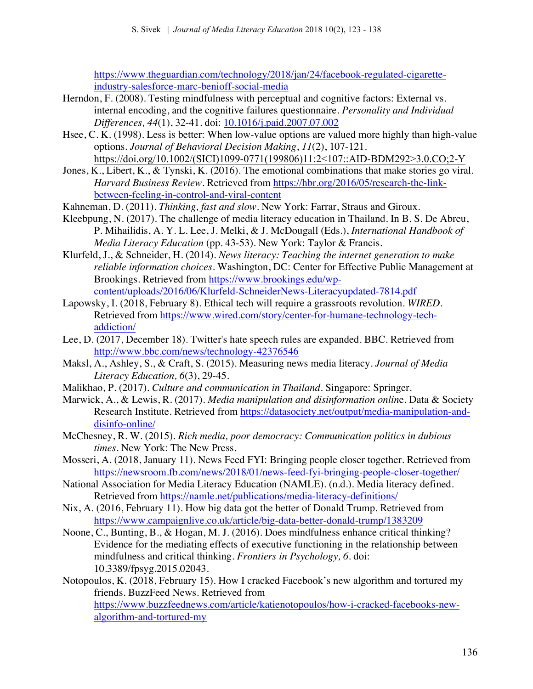https://www.theguardian.com/technology/2018/jan/24/facebook-regulated-cigaretteindustry-salesforce-marc-benioff-social-media

- Herndon, F. (2008). Testing mindfulness with perceptual and cognitive factors: External vs. internal encoding, and the cognitive failures questionnaire. *Personality and Individual Differences, 44*(1), 32-41. doi: 10.1016/j.paid.2007.07.002
- Hsee, C. K. (1998). Less is better: When low-value options are valued more highly than high-value options. *Journal of Behavioral Decision Making*, *11*(2), 107-121. https://doi.org/10.1002/(SICI)1099-0771(199806)11:2<107::AID-BDM292>3.0.CO;2-Y
- Jones, K., Libert, K., & Tynski, K. (2016). The emotional combinations that make stories go viral. *Harvard Business Review*. Retrieved from https://hbr.org/2016/05/research-the-linkbetween-feeling-in-control-and-viral-content
- Kahneman, D. (2011). *Thinking, fast and slow*. New York: Farrar, Straus and Giroux.
- Kleebpung, N. (2017). The challenge of media literacy education in Thailand. In B. S. De Abreu, P. Mihailidis, A. Y. L. Lee, J. Melki, & J. McDougall (Eds.), *International Handbook of Media Literacy Education* (pp. 43-53). New York: Taylor & Francis.
- Klurfeld, J., & Schneider, H. (2014). *News literacy: Teaching the internet generation to make reliable information choices*. Washington, DC: Center for Effective Public Management at Brookings. Retrieved from https://www.brookings.edu/wpcontent/uploads/2016/06/Klurfeld-SchneiderNews-Literacyupdated-7814.pdf
- Lapowsky, I. (2018, February 8). Ethical tech will require a grassroots revolution. *WIRED*. Retrieved from https://www.wired.com/story/center-for-humane-technology-techaddiction/
- Lee, D. (2017, December 18). Twitter's hate speech rules are expanded. BBC. Retrieved from http://www.bbc.com/news/technology-42376546
- Maksl, A., Ashley, S., & Craft, S. (2015). Measuring news media literacy. *Journal of Media Literacy Education, 6*(3), 29-45.
- Malikhao, P. (2017). *Culture and communication in Thailand*. Singapore: Springer.
- Marwick, A., & Lewis, R. (2017). *Media manipulation and disinformation onlin*e. Data & Society Research Institute. Retrieved from https://datasociety.net/output/media-manipulation-anddisinfo-online/
- McChesney, R. W. (2015). *Rich media, poor democracy: Communication politics in dubious times.* New York: The New Press.
- Mosseri, A. (2018, January 11). News Feed FYI: Bringing people closer together. Retrieved from https://newsroom.fb.com/news/2018/01/news-feed-fyi-bringing-people-closer-together/
- National Association for Media Literacy Education (NAMLE). (n.d.). Media literacy defined. Retrieved from https://namle.net/publications/media-literacy-definitions/
- Nix, A. (2016, February 11). How big data got the better of Donald Trump. Retrieved from https://www.campaignlive.co.uk/article/big-data-better-donald-trump/1383209
- Noone, C., Bunting, B., & Hogan, M. J. (2016). Does mindfulness enhance critical thinking? Evidence for the mediating effects of executive functioning in the relationship between mindfulness and critical thinking. *Frontiers in Psychology, 6*. doi: 10.3389/fpsyg.2015.02043.
- Notopoulos, K. (2018, February 15). How I cracked Facebook's new algorithm and tortured my friends. BuzzFeed News. Retrieved from https://www.buzzfeednews.com/article/katienotopoulos/how-i-cracked-facebooks-newalgorithm-and-tortured-my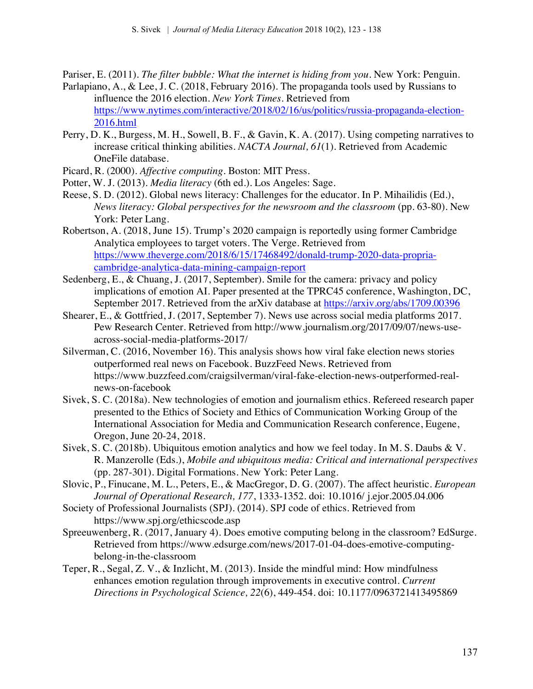Pariser, E. (2011). *The filter bubble: What the internet is hiding from you*. New York: Penguin.

- Parlapiano, A., & Lee, J. C. (2018, February 2016). The propaganda tools used by Russians to influence the 2016 election. *New York Times*. Retrieved from https://www.nytimes.com/interactive/2018/02/16/us/politics/russia-propaganda-election-2016.html
- Perry, D. K., Burgess, M. H., Sowell, B. F., & Gavin, K. A. (2017). Using competing narratives to increase critical thinking abilities. *NACTA Journal, 61*(1). Retrieved from Academic OneFile database.
- Picard, R. (2000). *Affective computing*. Boston: MIT Press.
- Potter, W. J. (2013). *Media literacy* (6th ed.). Los Angeles: Sage.
- Reese, S. D. (2012). Global news literacy: Challenges for the educator. In P. Mihailidis (Ed.), *News literacy: Global perspectives for the newsroom and the classroom* (pp. 63-80). New York: Peter Lang.
- Robertson, A. (2018, June 15). Trump's 2020 campaign is reportedly using former Cambridge Analytica employees to target voters. The Verge. Retrieved from https://www.theverge.com/2018/6/15/17468492/donald-trump-2020-data-propriacambridge-analytica-data-mining-campaign-report
- Sedenberg, E., & Chuang, J. (2017, September). Smile for the camera: privacy and policy implications of emotion AI. Paper presented at the TPRC45 conference, Washington, DC, September 2017. Retrieved from the arXiv database at https://arxiv.org/abs/1709.00396
- Shearer, E., & Gottfried, J. (2017, September 7). News use across social media platforms 2017. Pew Research Center. Retrieved from http://www.journalism.org/2017/09/07/news-useacross-social-media-platforms-2017/
- Silverman, C. (2016, November 16). This analysis shows how viral fake election news stories outperformed real news on Facebook. BuzzFeed News. Retrieved from https://www.buzzfeed.com/craigsilverman/viral-fake-election-news-outperformed-realnews-on-facebook
- Sivek, S. C. (2018a). New technologies of emotion and journalism ethics. Refereed research paper presented to the Ethics of Society and Ethics of Communication Working Group of the International Association for Media and Communication Research conference, Eugene, Oregon, June 20-24, 2018.
- Sivek, S. C. (2018b). Ubiquitous emotion analytics and how we feel today. In M. S. Daubs & V. R. Manzerolle (Eds.), *Mobile and ubiquitous media: Critical and international perspectives*  (pp. 287-301)*.* Digital Formations. New York: Peter Lang.
- Slovic, P., Finucane, M. L., Peters, E., & MacGregor, D. G. (2007). The affect heuristic. *European Journal of Operational Research, 177*, 1333-1352. doi: 10.1016/ j.ejor.2005.04.006
- Society of Professional Journalists (SPJ). (2014). SPJ code of ethics. Retrieved from https://www.spj.org/ethicscode.asp
- Spreeuwenberg, R. (2017, January 4). Does emotive computing belong in the classroom? EdSurge. Retrieved from https://www.edsurge.com/news/2017-01-04-does-emotive-computingbelong-in-the-classroom
- Teper, R., Segal, Z. V., & Inzlicht, M. (2013). Inside the mindful mind: How mindfulness enhances emotion regulation through improvements in executive control. *Current Directions in Psychological Science, 22*(6), 449-454. doi: 10.1177/0963721413495869